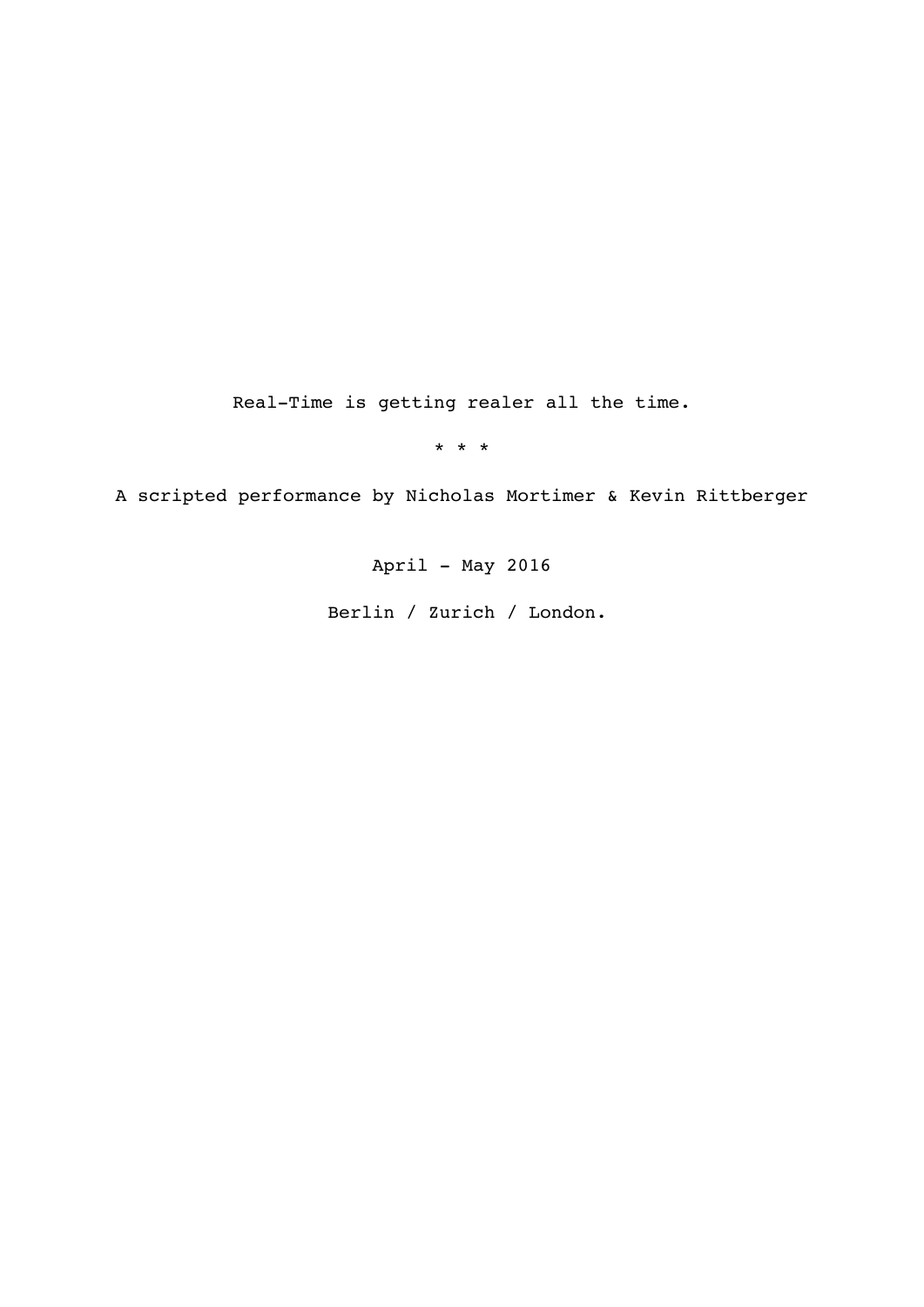Real-Time is getting realer all the time.

\* \* \*

A scripted performance by Nicholas Mortimer & Kevin Rittberger

April - May 2016

Berlin / Zurich / London.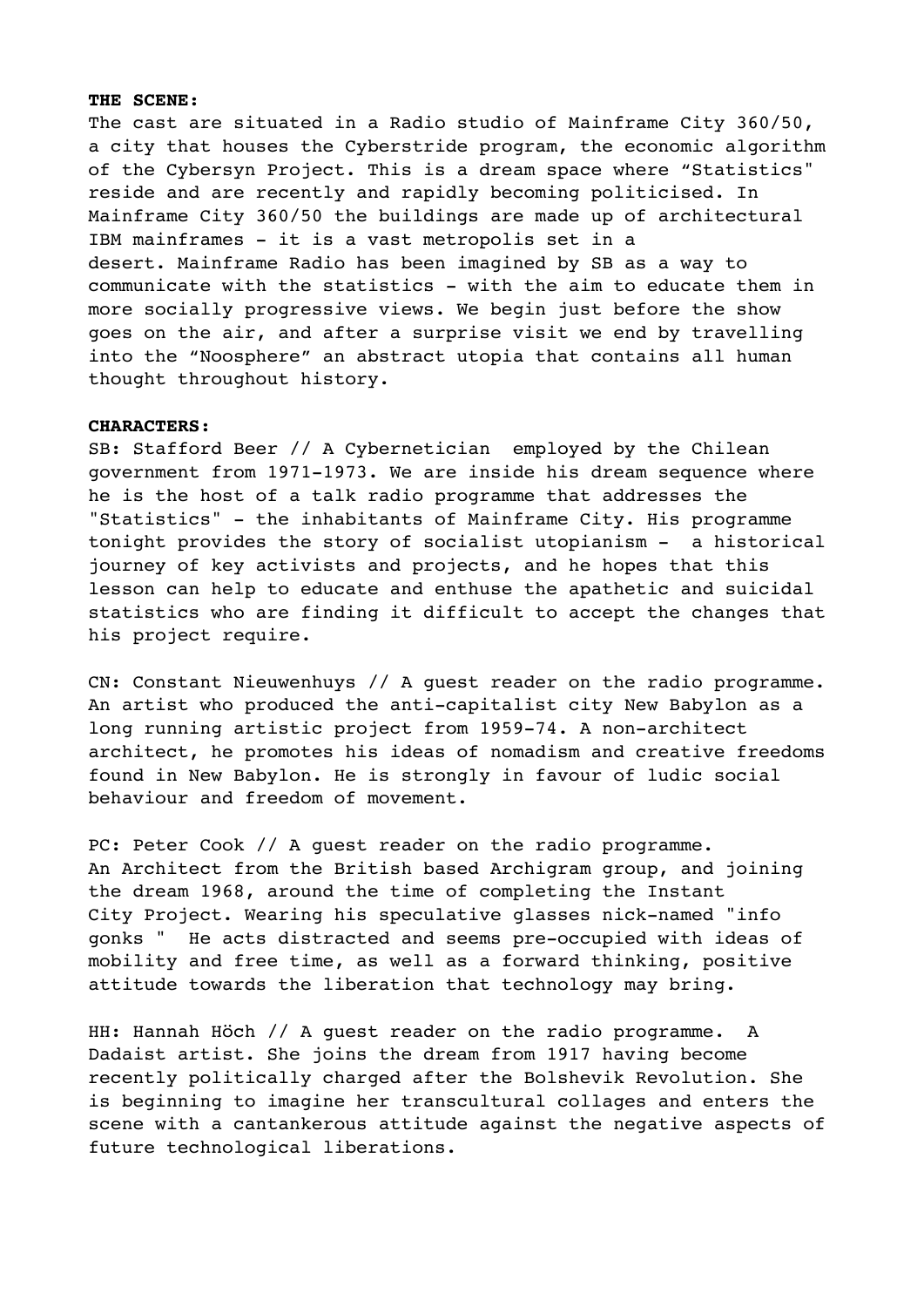#### **THE SCENE:**

The cast are situated in a Radio studio of Mainframe City 360/50, a city that houses the Cyberstride program, the economic algorithm of the Cybersyn Project. This is a dream space where "Statistics" reside and are recently and rapidly becoming politicised. In Mainframe City 360/50 the buildings are made up of architectural IBM mainframes - it is a vast metropolis set in a desert. Mainframe Radio has been imagined by SB as a way to communicate with the statistics - with the aim to educate them in more socially progressive views. We begin just before the show goes on the air, and after a surprise visit we end by travelling into the "Noosphere" an abstract utopia that contains all human thought throughout history.

#### **CHARACTERS:**

SB: Stafford Beer // A Cybernetician employed by the Chilean government from 1971-1973. We are inside his dream sequence where he is the host of a talk radio programme that addresses the "Statistics" - the inhabitants of Mainframe City. His programme tonight provides the story of socialist utopianism - a historical journey of key activists and projects, and he hopes that this lesson can help to educate and enthuse the apathetic and suicidal statistics who are finding it difficult to accept the changes that his project require.

CN: Constant Nieuwenhuys // A guest reader on the radio programme. An artist who produced the anti-capitalist city New Babylon as a long running artistic project from 1959-74. A non-architect architect, he promotes his ideas of nomadism and creative freedoms found in New Babylon. He is strongly in favour of ludic social behaviour and freedom of movement.

PC: Peter Cook // A guest reader on the radio programme. An Architect from the British based Archigram group, and joining the dream 1968, around the time of completing the Instant City Project. Wearing his speculative glasses nick-named "info gonks " He acts distracted and seems pre-occupied with ideas of mobility and free time, as well as a forward thinking, positive attitude towards the liberation that technology may bring.

HH: Hannah Höch // A guest reader on the radio programme. A Dadaist artist. She joins the dream from 1917 having become recently politically charged after the Bolshevik Revolution. She is beginning to imagine her transcultural collages and enters the scene with a cantankerous attitude against the negative aspects of future technological liberations.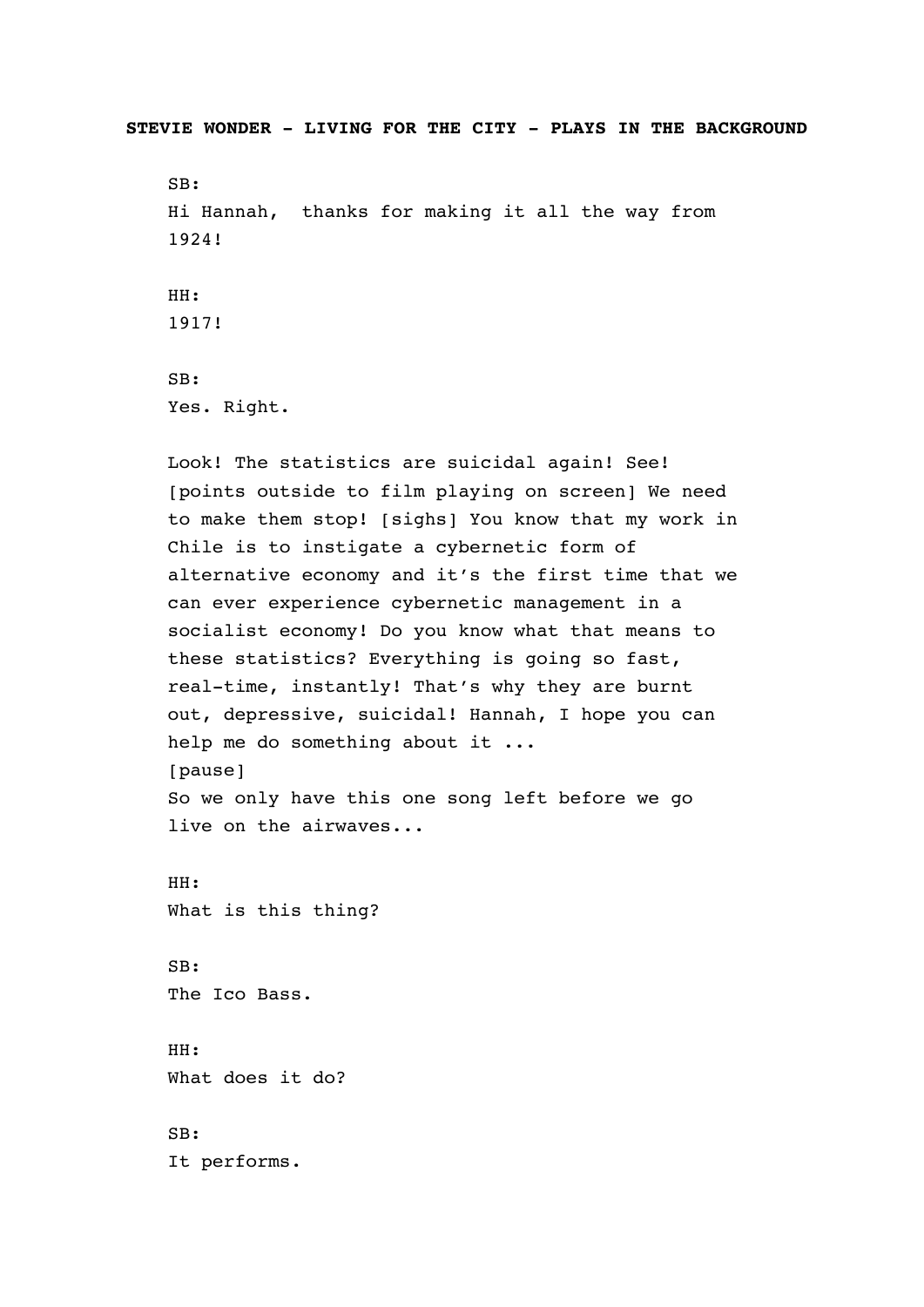**STEVIE WONDER - LIVING FOR THE CITY - PLAYS IN THE BACKGROUND** 

SB: Hi Hannah, thanks for making it all the way from 1924! HH: 1917! SB: Yes. Right.

Look! The statistics are suicidal again! See! [points outside to film playing on screen] We need to make them stop! [sighs] You know that my work in Chile is to instigate a cybernetic form of alternative economy and it's the first time that we can ever experience cybernetic management in a socialist economy! Do you know what that means to these statistics? Everything is going so fast, real-time, instantly! That's why they are burnt out, depressive, suicidal! Hannah, I hope you can help me do something about it ... [pause] So we only have this one song left before we go live on the airwaves... HH: What is this thing? SB: The Ico Bass. HH: What does it do? SB: It performs.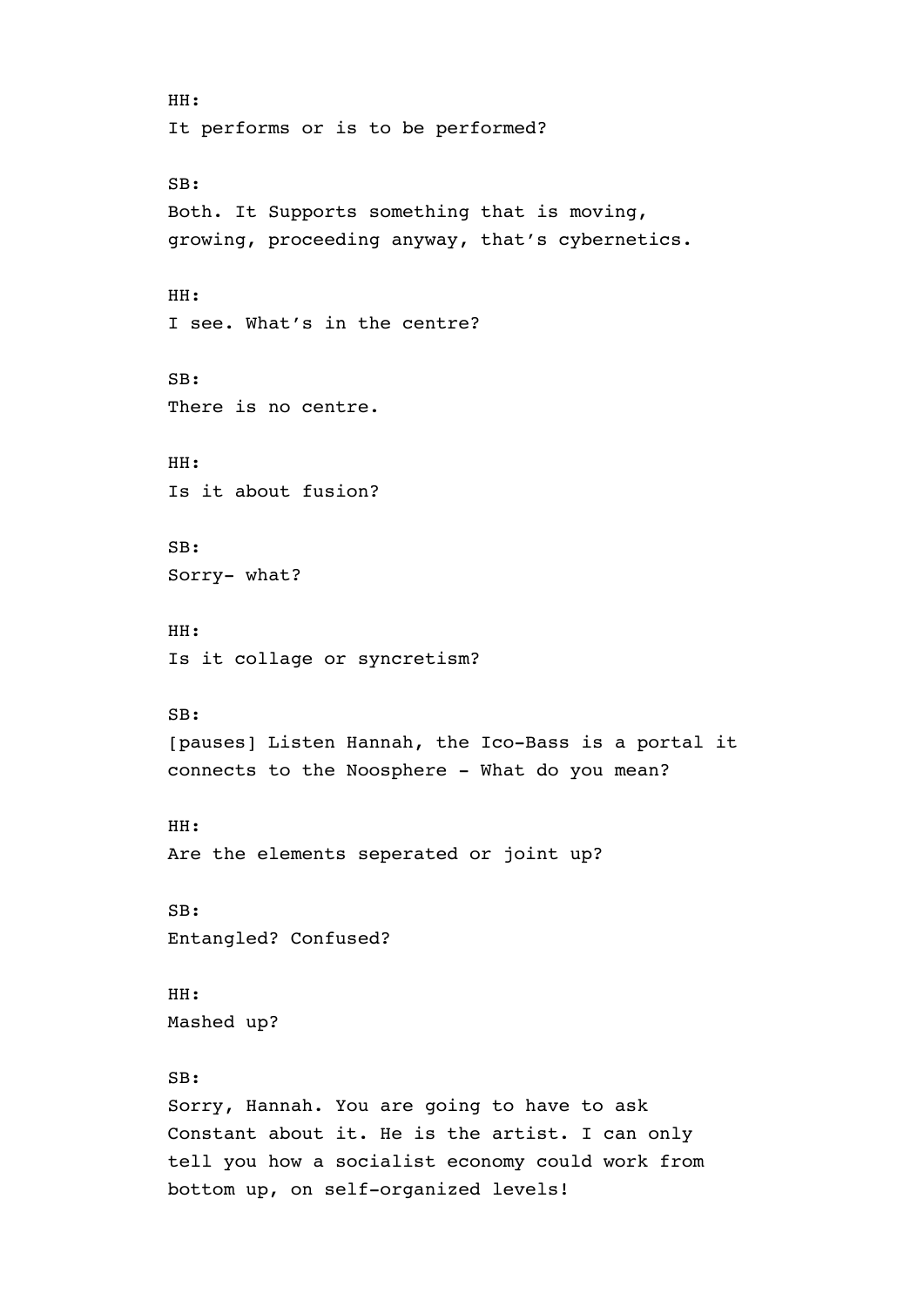HH: It performs or is to be performed? SB: Both. It Supports something that is moving, growing, proceeding anyway, that's cybernetics. HH: I see. What's in the centre? SB: There is no centre. HH: Is it about fusion? SB: Sorry- what? HH: Is it collage or syncretism? SB: [pauses] Listen Hannah, the Ico-Bass is a portal it connects to the Noosphere - What do you mean? HH: Are the elements seperated or joint up? SB: Entangled? Confused? HH: Mashed up? SB: Sorry, Hannah. You are going to have to ask Constant about it. He is the artist. I can only tell you how a socialist economy could work from bottom up, on self-organized levels!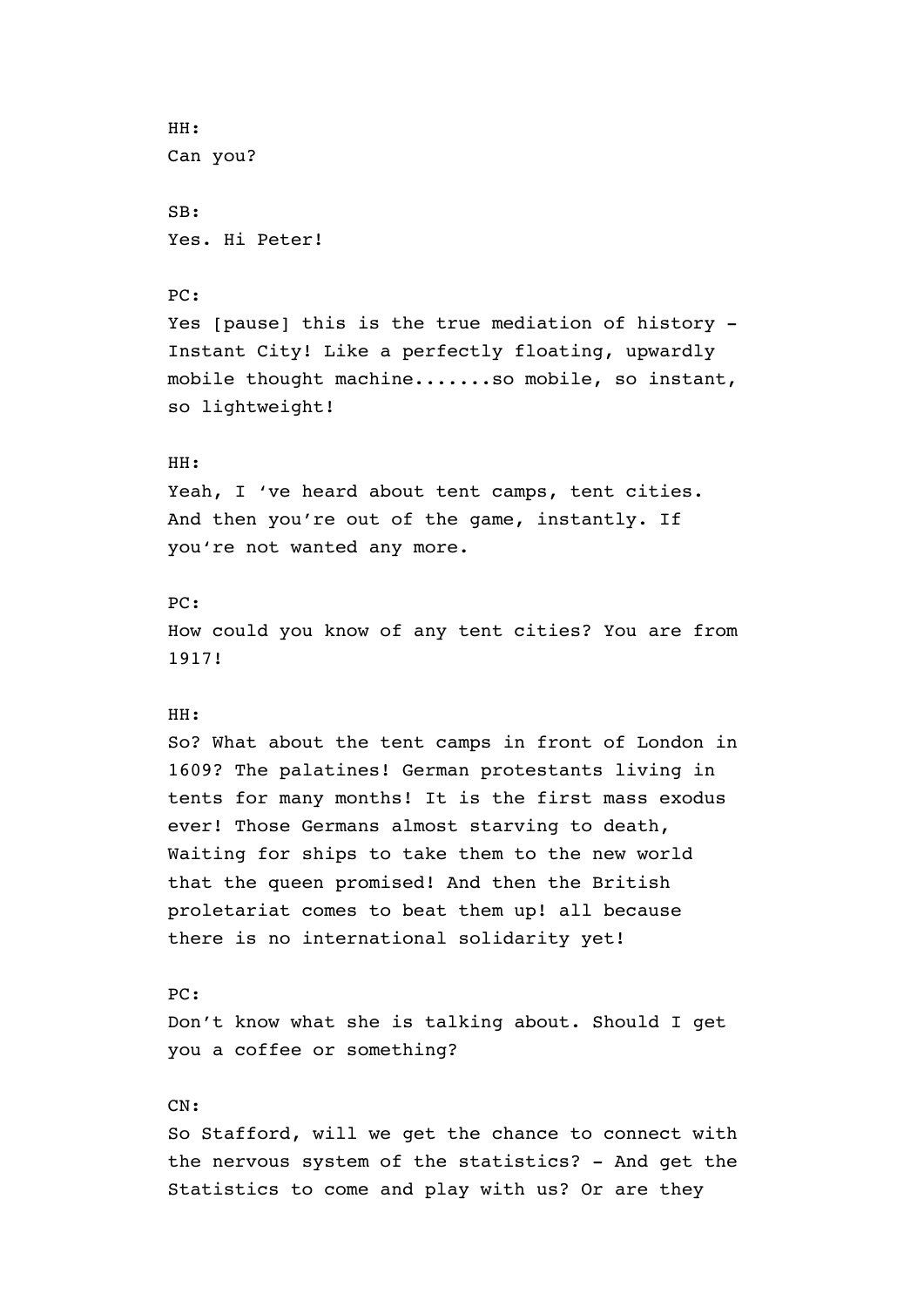```
HH: 
Can you? 
SB: 
Yes. Hi Peter! 
PC: 
Yes [pause] this is the true mediation of history - 
Instant City! Like a perfectly floating, upwardly 
mobile thought machine.......so mobile, so instant, 
so lightweight! 
HH: 
Yeah, I 've heard about tent camps, tent cities. 
And then you're out of the game, instantly. If 
you're not wanted any more. 
PC: 
How could you know of any tent cities? You are from 
1917! 
HH: 
So? What about the tent camps in front of London in 
1609? The palatines! German protestants living in 
tents for many months! It is the first mass exodus 
ever! Those Germans almost starving to death,
Waiting for ships to take them to the new world 
that the queen promised! And then the British 
proletariat comes to beat them up! all because 
there is no international solidarity yet! 
PC: 
Don't know what she is talking about. Should I get 
you a coffee or something? 
CN: 
So Stafford, will we get the chance to connect with 
the nervous system of the statistics? - And get the 
Statistics to come and play with us? Or are they
```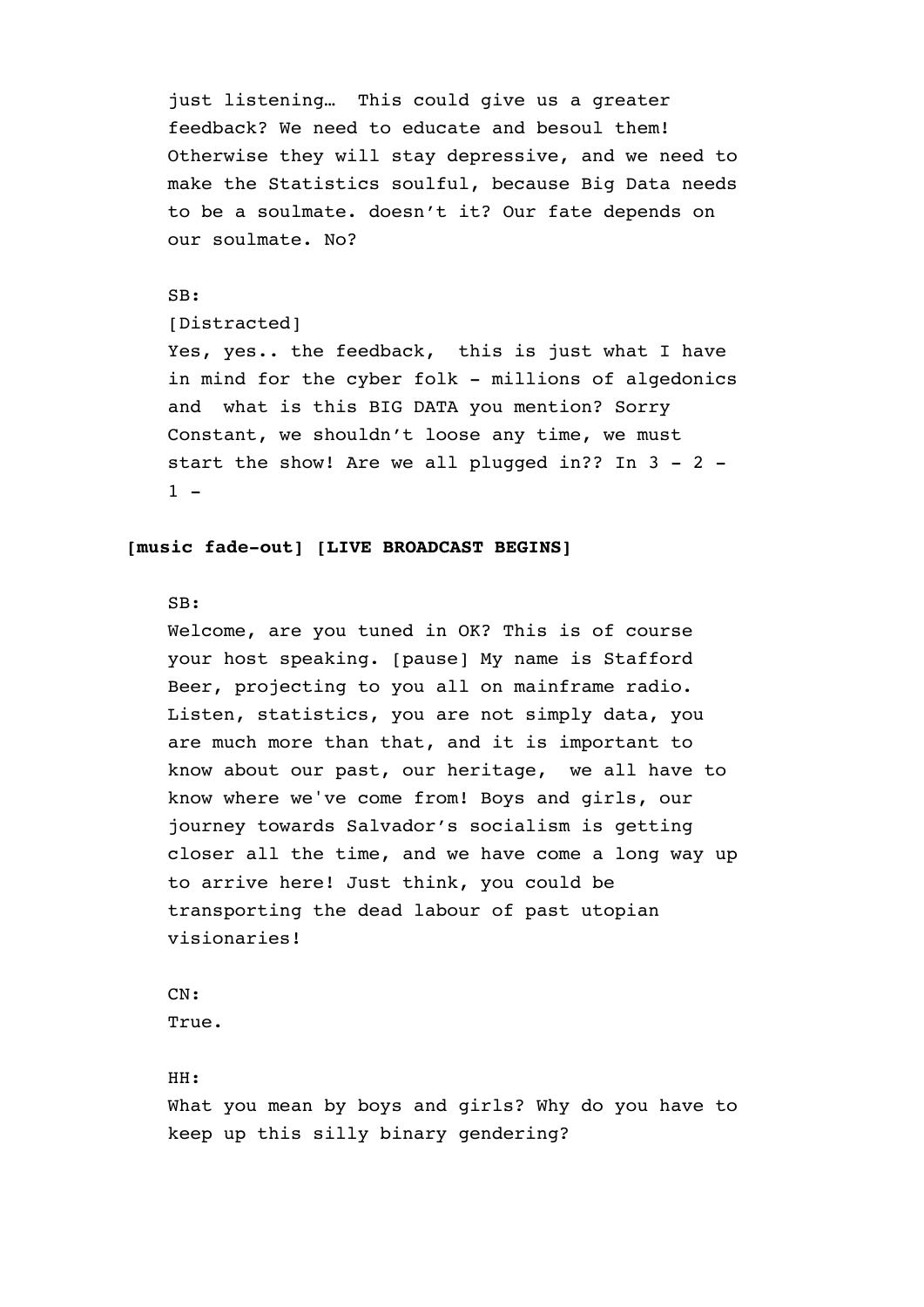just listening… This could give us a greater feedback? We need to educate and besoul them! Otherwise they will stay depressive, and we need to make the Statistics soulful, because Big Data needs to be a soulmate. doesn't it? Our fate depends on our soulmate. No?

# SB:

# [Distracted]

Yes, yes.. the feedback, this is just what I have in mind for the cyber folk - millions of algedonics and what is this BIG DATA you mention? Sorry Constant, we shouldn't loose any time, we must start the show! Are we all plugged in?? In 3 - 2 -  $1 -$ 

# **[music fade-out] [LIVE BROADCAST BEGINS]**

# SB:

Welcome, are you tuned in OK? This is of course your host speaking. [pause] My name is Stafford Beer, projecting to you all on mainframe radio. Listen, statistics, you are not simply data, you are much more than that, and it is important to know about our past, our heritage, we all have to know where we've come from! Boys and girls, our journey towards Salvador's socialism is getting closer all the time, and we have come a long way up to arrive here! Just think, you could be transporting the dead labour of past utopian visionaries!

```
CN: 
True.
```
# HH:

What you mean by boys and girls? Why do you have to keep up this silly binary gendering?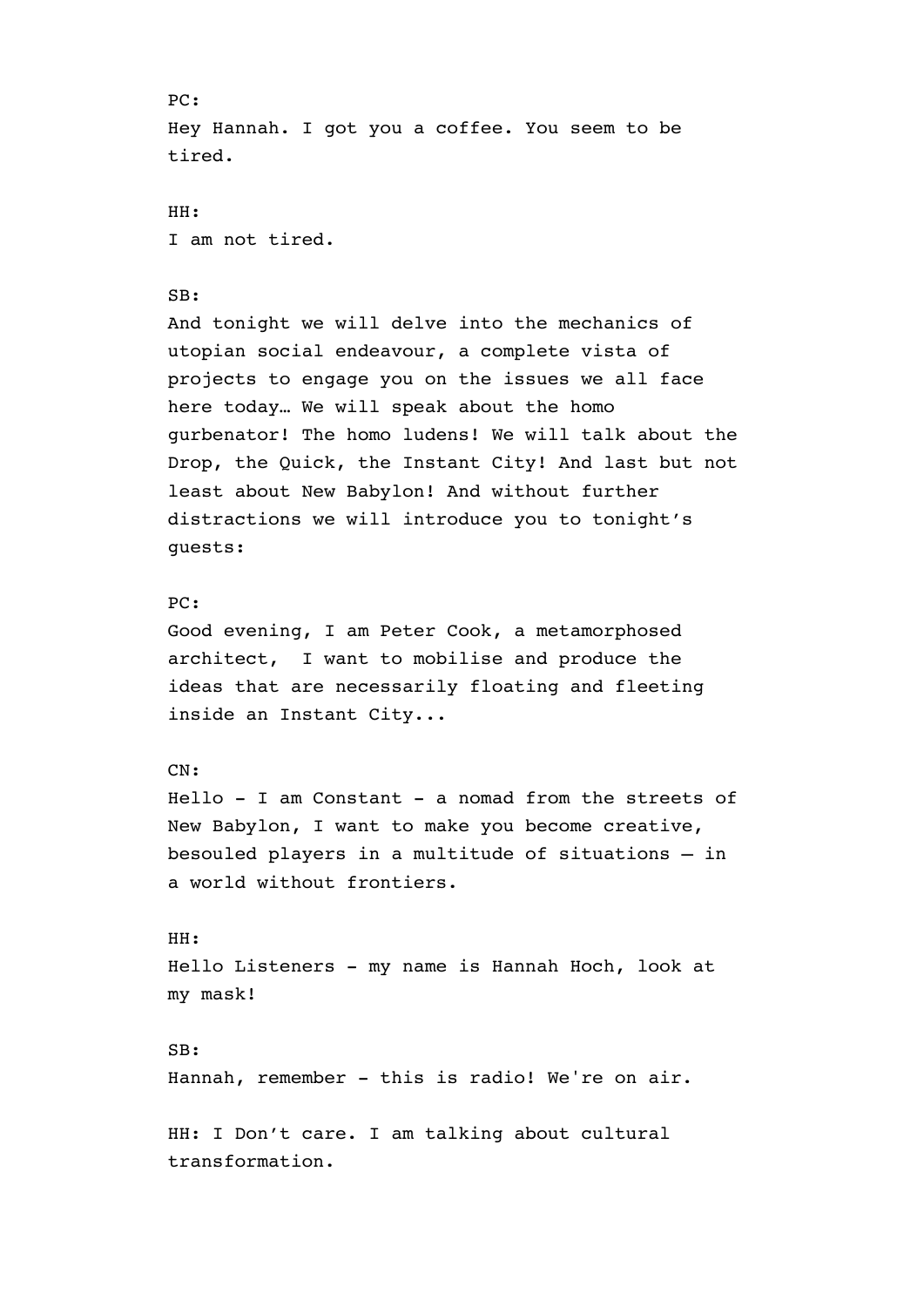PC: Hey Hannah. I got you a coffee. You seem to be tired. HH: I am not tired. SB: And tonight we will delve into the mechanics of utopian social endeavour, a complete vista of projects to engage you on the issues we all face here today… We will speak about the homo gurbenator! The homo ludens! We will talk about the Drop, the Quick, the Instant City! And last but not least about New Babylon! And without further distractions we will introduce you to tonight's guests: PC: Good evening, I am Peter Cook, a metamorphosed architect, I want to mobilise and produce the ideas that are necessarily floating and fleeting inside an Instant City... CN: Hello - I am Constant - a nomad from the streets of New Babylon, I want to make you become creative, besouled players in a multitude of situations – in a world without frontiers. HH: Hello Listeners - my name is Hannah Hoch, look at my mask! SB: Hannah, remember - this is radio! We're on air. HH: I Don't care. I am talking about cultural

transformation.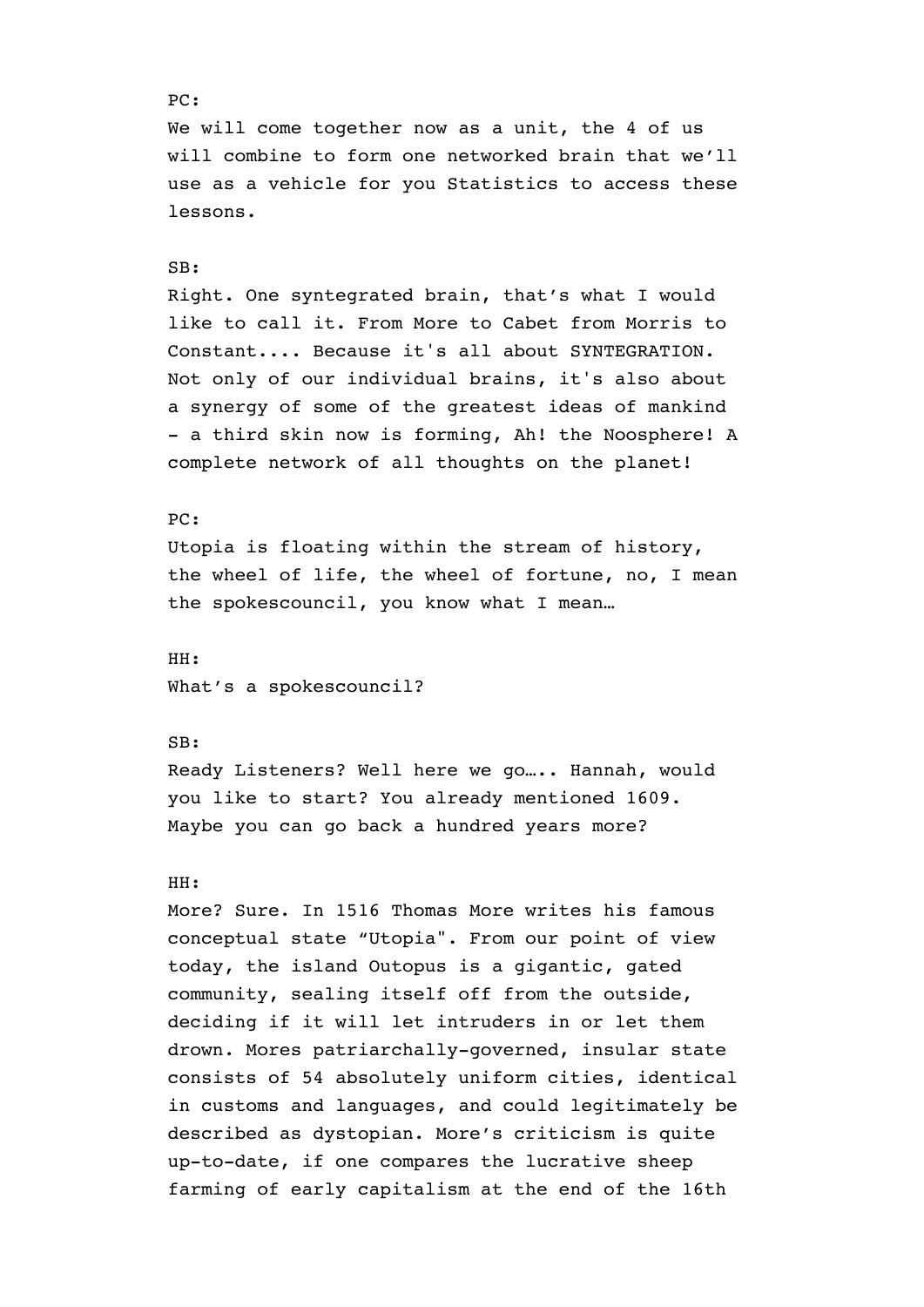# PC: We will come together now as a unit, the 4 of us will combine to form one networked brain that we'll use as a vehicle for you Statistics to access these lessons. SB: Right. One syntegrated brain, that's what I would like to call it. From More to Cabet from Morris to Constant.... Because it's all about SYNTEGRATION. Not only of our individual brains, it's also about a synergy of some of the greatest ideas of mankind - a third skin now is forming, Ah! the Noosphere! A complete network of all thoughts on the planet! PC: Utopia is floating within the stream of history, the wheel of life, the wheel of fortune, no, I mean the spokescouncil, you know what I mean… HH: What's a spokescouncil? SB: Ready Listeners? Well here we go….. Hannah, would you like to start? You already mentioned 1609. Maybe you can go back a hundred years more? HH:

More? Sure. In 1516 Thomas More writes his famous conceptual state "Utopia". From our point of view today, the island Outopus is a gigantic, gated community, sealing itself off from the outside, deciding if it will let intruders in or let them drown. Mores patriarchally-governed, insular state consists of 54 absolutely uniform cities, identical in customs and languages, and could legitimately be described as dystopian. More's criticism is quite up-to-date, if one compares the lucrative sheep farming of early capitalism at the end of the 16th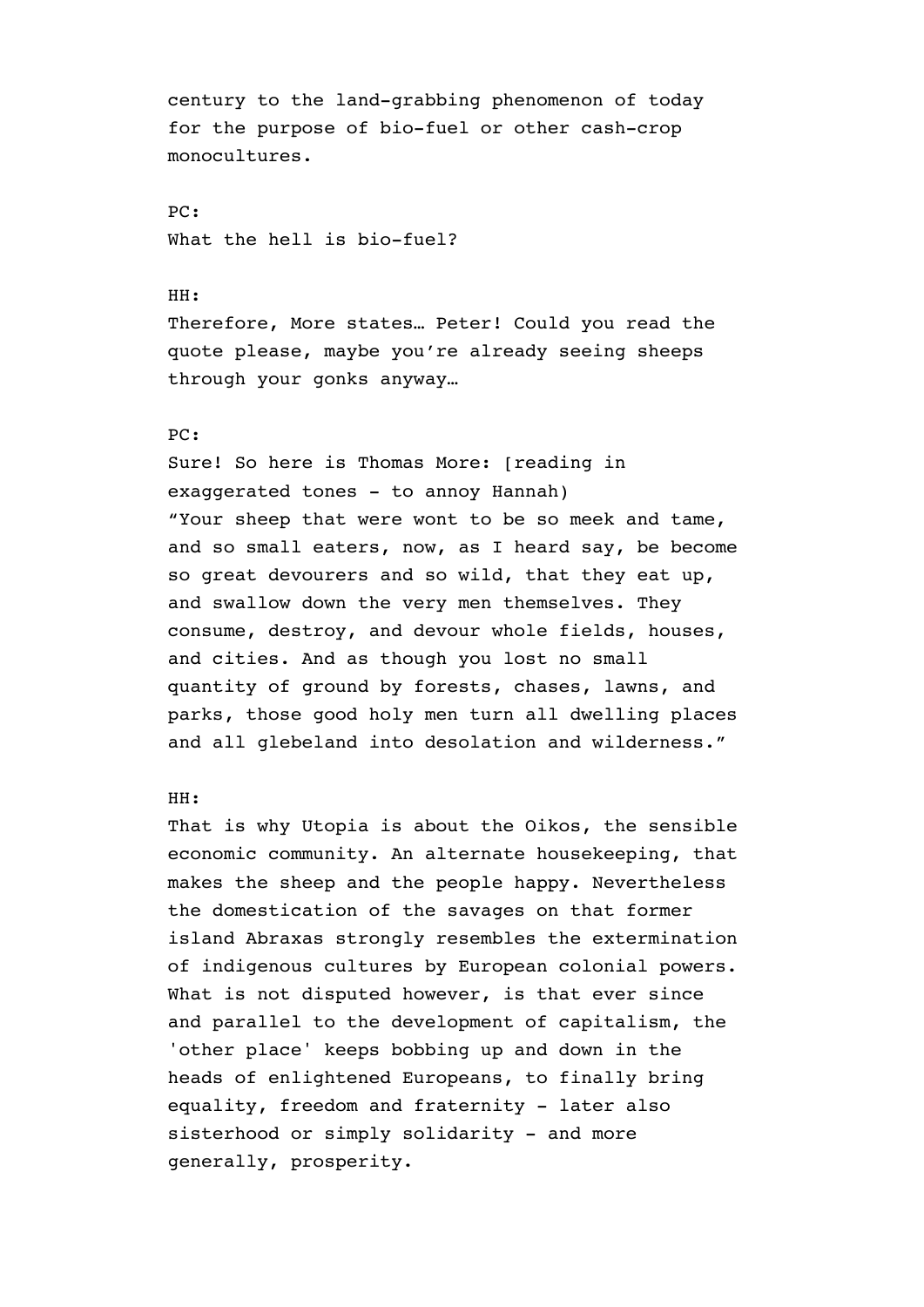century to the land-grabbing phenomenon of today for the purpose of bio-fuel or other cash-crop monocultures.

PC: What the hell is bio-fuel?

## HH:

Therefore, More states… Peter! Could you read the quote please, maybe you're already seeing sheeps through your gonks anyway…

## PC:

Sure! So here is Thomas More: [reading in exaggerated tones - to annoy Hannah) "Your sheep that were wont to be so meek and tame, and so small eaters, now, as I heard say, be become so great devourers and so wild, that they eat up, and swallow down the very men themselves. They consume, destroy, and devour whole fields, houses, and cities. And as though you lost no small quantity of ground by forests, chases, lawns, and parks, those good holy men turn all dwelling places and all glebeland into desolation and wilderness."

## HH:

That is why Utopia is about the Oikos, the sensible economic community. An alternate housekeeping, that makes the sheep and the people happy. Nevertheless the domestication of the savages on that former island Abraxas strongly resembles the extermination of indigenous cultures by European colonial powers. What is not disputed however, is that ever since and parallel to the development of capitalism, the 'other place' keeps bobbing up and down in the heads of enlightened Europeans, to finally bring equality, freedom and fraternity - later also sisterhood or simply solidarity - and more generally, prosperity.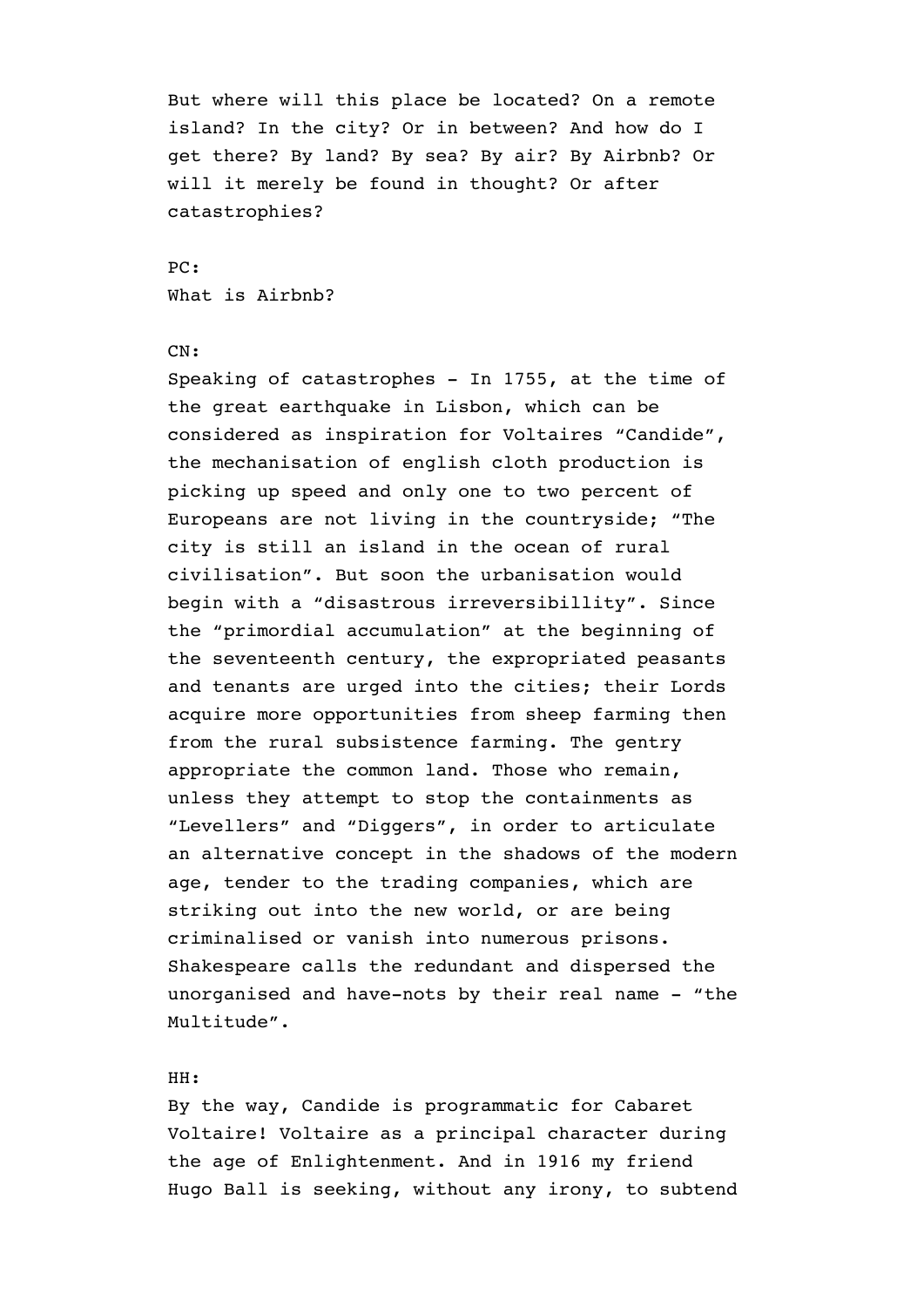But where will this place be located? On a remote island? In the city? Or in between? And how do I get there? By land? By sea? By air? By Airbnb? Or will it merely be found in thought? Or after catastrophies?

PC: What is Airbnb?

## CN:

Speaking of catastrophes - In 1755, at the time of the great earthquake in Lisbon, which can be considered as inspiration for Voltaires "Candide", the mechanisation of english cloth production is picking up speed and only one to two percent of Europeans are not living in the countryside; "The city is still an island in the ocean of rural civilisation". But soon the urbanisation would begin with a "disastrous irreversibillity". Since the "primordial accumulation" at the beginning of the seventeenth century, the expropriated peasants and tenants are urged into the cities; their Lords acquire more opportunities from sheep farming then from the rural subsistence farming. The gentry appropriate the common land. Those who remain, unless they attempt to stop the containments as "Levellers" and "Diggers", in order to articulate an alternative concept in the shadows of the modern age, tender to the trading companies, which are striking out into the new world, or are being criminalised or vanish into numerous prisons. Shakespeare calls the redundant and dispersed the unorganised and have-nots by their real name - "the Multitude".

# HH:

By the way, Candide is programmatic for Cabaret Voltaire! Voltaire as a principal character during the age of Enlightenment. And in 1916 my friend Hugo Ball is seeking, without any irony, to subtend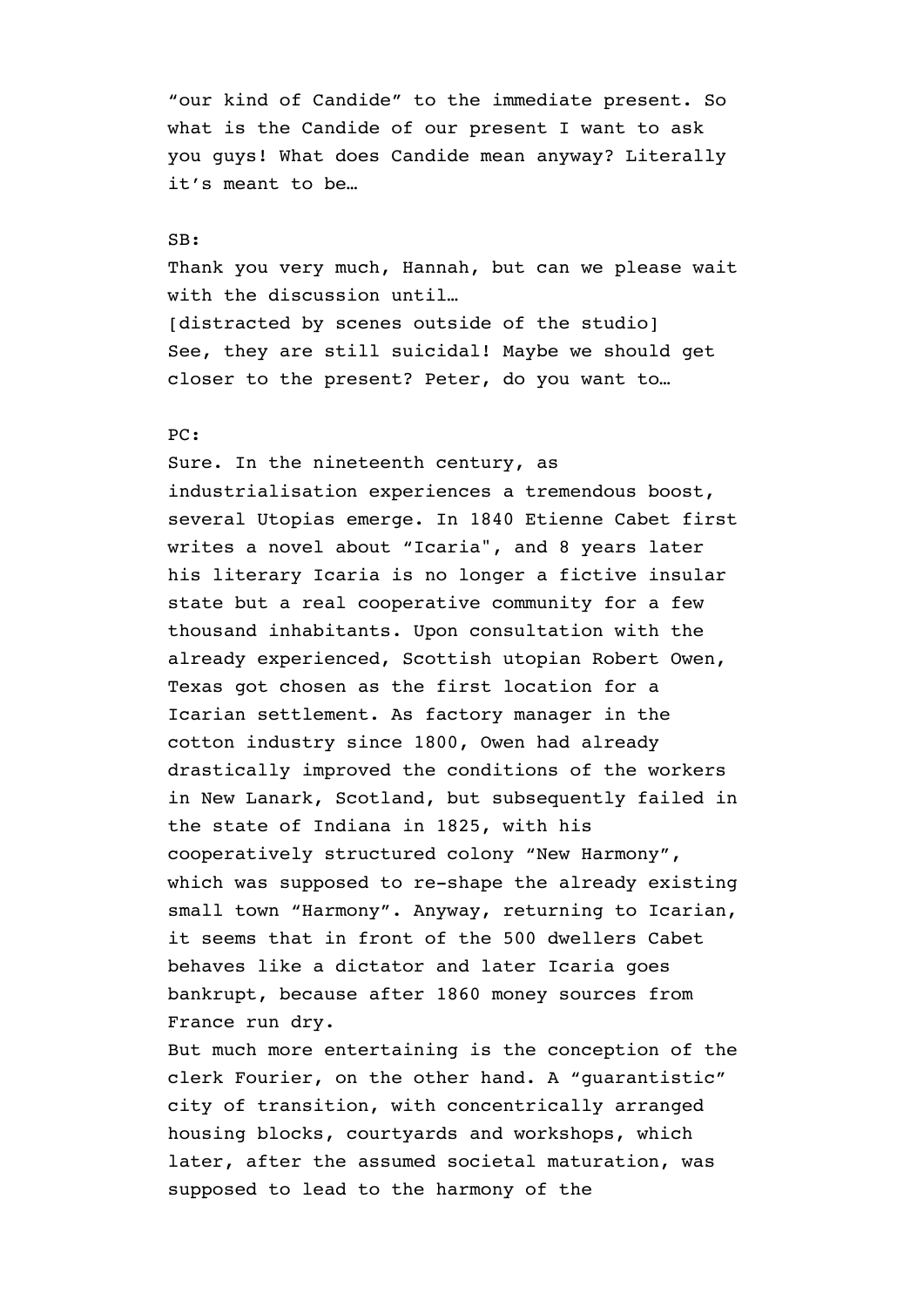"our kind of Candide" to the immediate present. So what is the Candide of our present I want to ask you guys! What does Candide mean anyway? Literally it's meant to be…

#### SB:

Thank you very much, Hannah, but can we please wait with the discussion until… [distracted by scenes outside of the studio] See, they are still suicidal! Maybe we should get closer to the present? Peter, do you want to…

# PC:

Sure. In the nineteenth century, as industrialisation experiences a tremendous boost, several Utopias emerge. In 1840 Etienne Cabet first writes a novel about "Icaria", and 8 years later his literary Icaria is no longer a fictive insular state but a real cooperative community for a few thousand inhabitants. Upon consultation with the already experienced, Scottish utopian Robert Owen, Texas got chosen as the first location for a Icarian settlement. As factory manager in the cotton industry since 1800, Owen had already drastically improved the conditions of the workers in New Lanark, Scotland, but subsequently failed in the state of Indiana in 1825, with his cooperatively structured colony "New Harmony", which was supposed to re-shape the already existing small town "Harmony". Anyway, returning to Icarian, it seems that in front of the 500 dwellers Cabet behaves like a dictator and later Icaria goes bankrupt, because after 1860 money sources from France run dry.

But much more entertaining is the conception of the clerk Fourier, on the other hand. A "guarantistic" city of transition, with concentrically arranged housing blocks, courtyards and workshops, which later, after the assumed societal maturation, was supposed to lead to the harmony of the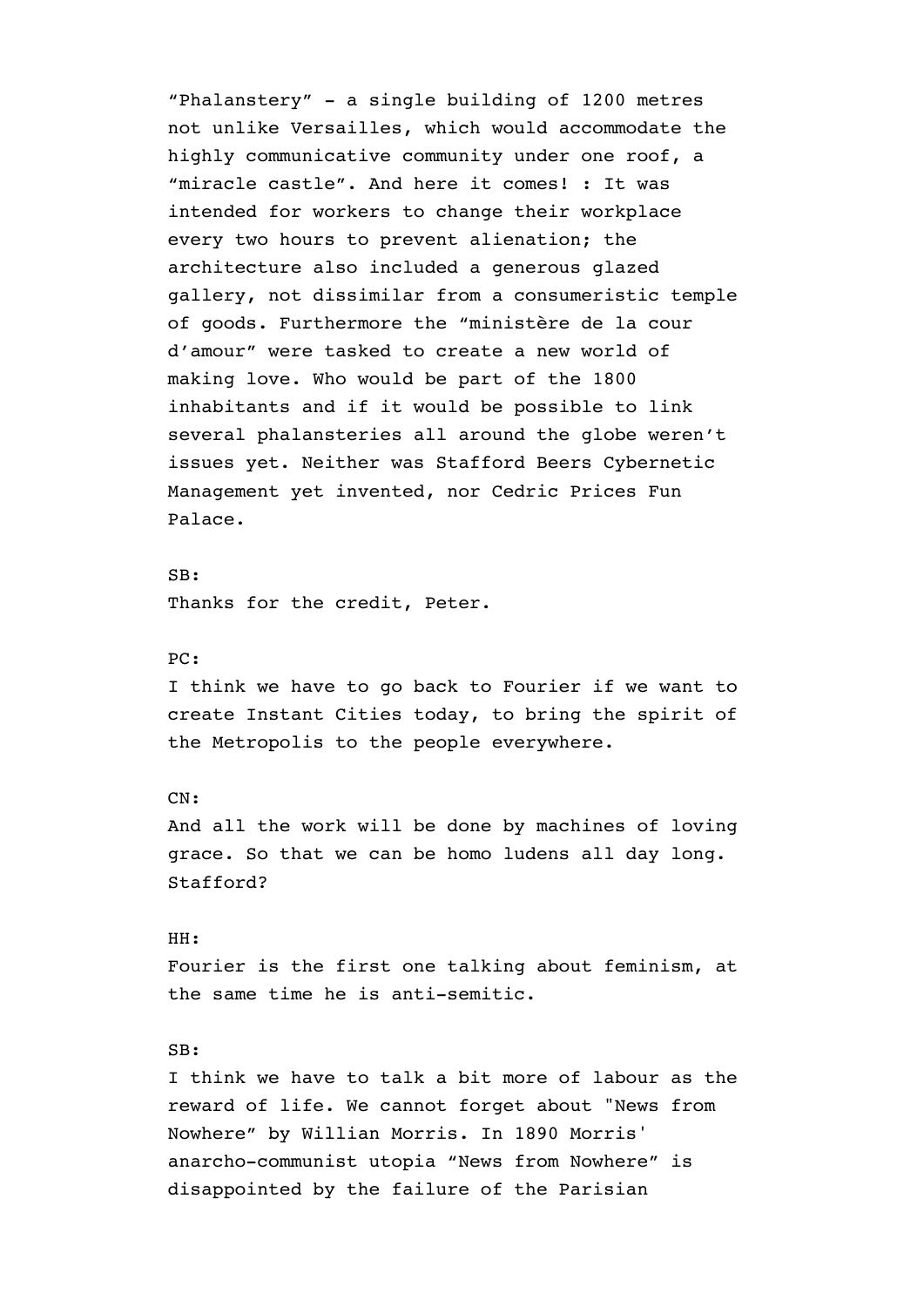"Phalanstery" - a single building of 1200 metres not unlike Versailles, which would accommodate the highly communicative community under one roof, a "miracle castle". And here it comes! : It was intended for workers to change their workplace every two hours to prevent alienation; the architecture also included a generous glazed gallery, not dissimilar from a consumeristic temple of goods. Furthermore the "ministère de la cour d'amour" were tasked to create a new world of making love. Who would be part of the 1800 inhabitants and if it would be possible to link several phalansteries all around the globe weren't issues yet. Neither was Stafford Beers Cybernetic Management yet invented, nor Cedric Prices Fun Palace.

SB: Thanks for the credit, Peter.

# PC:

I think we have to go back to Fourier if we want to create Instant Cities today, to bring the spirit of the Metropolis to the people everywhere.

#### CN:

And all the work will be done by machines of loving grace. So that we can be homo ludens all day long. Stafford?

#### HH:

Fourier is the first one talking about feminism, at the same time he is anti-semitic.

## SB:

I think we have to talk a bit more of labour as the reward of life. We cannot forget about "News from Nowhere" by Willian Morris. In 1890 Morris' anarcho-communist utopia "News from Nowhere" is disappointed by the failure of the Parisian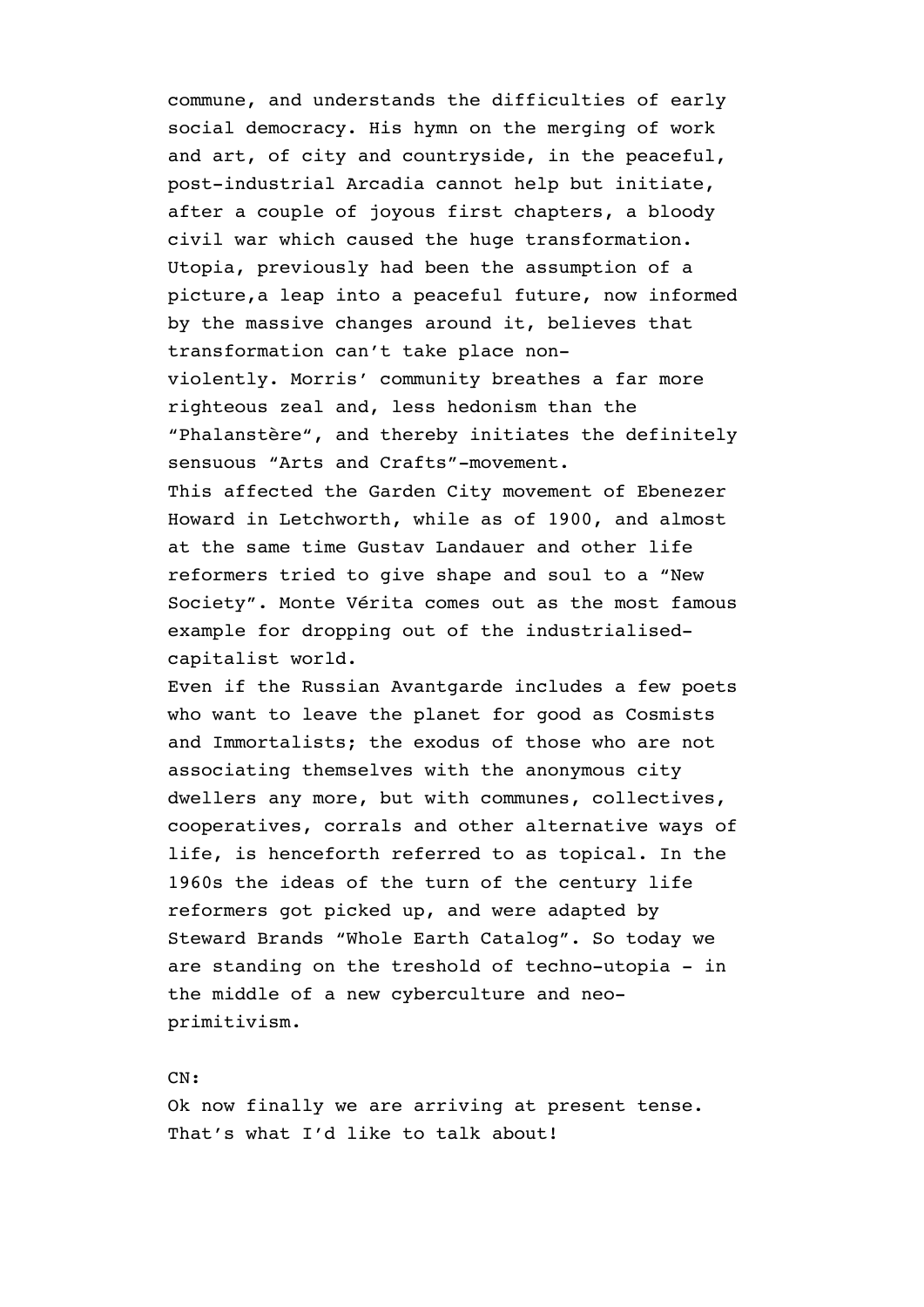commune, and understands the difficulties of early social democracy. His hymn on the merging of work and art, of city and countryside, in the peaceful, post-industrial Arcadia cannot help but initiate, after a couple of joyous first chapters, a bloody civil war which caused the huge transformation. Utopia, previously had been the assumption of a picture,a leap into a peaceful future, now informed by the massive changes around it, believes that transformation can't take place nonviolently. Morris' community breathes a far more righteous zeal and, less hedonism than the "Phalanstère", and thereby initiates the definitely sensuous "Arts and Crafts"-movement. This affected the Garden City movement of Ebenezer Howard in Letchworth, while as of 1900, and almost at the same time Gustav Landauer and other life reformers tried to give shape and soul to a "New Society". Monte Vérita comes out as the most famous example for dropping out of the industrialisedcapitalist world.

Even if the Russian Avantgarde includes a few poets who want to leave the planet for good as Cosmists and Immortalists; the exodus of those who are not associating themselves with the anonymous city dwellers any more, but with communes, collectives, cooperatives, corrals and other alternative ways of life, is henceforth referred to as topical. In the 1960s the ideas of the turn of the century life reformers got picked up, and were adapted by Steward Brands "Whole Earth Catalog". So today we are standing on the treshold of techno-utopia - in the middle of a new cyberculture and neoprimitivism.

CN:

Ok now finally we are arriving at present tense. That's what I'd like to talk about!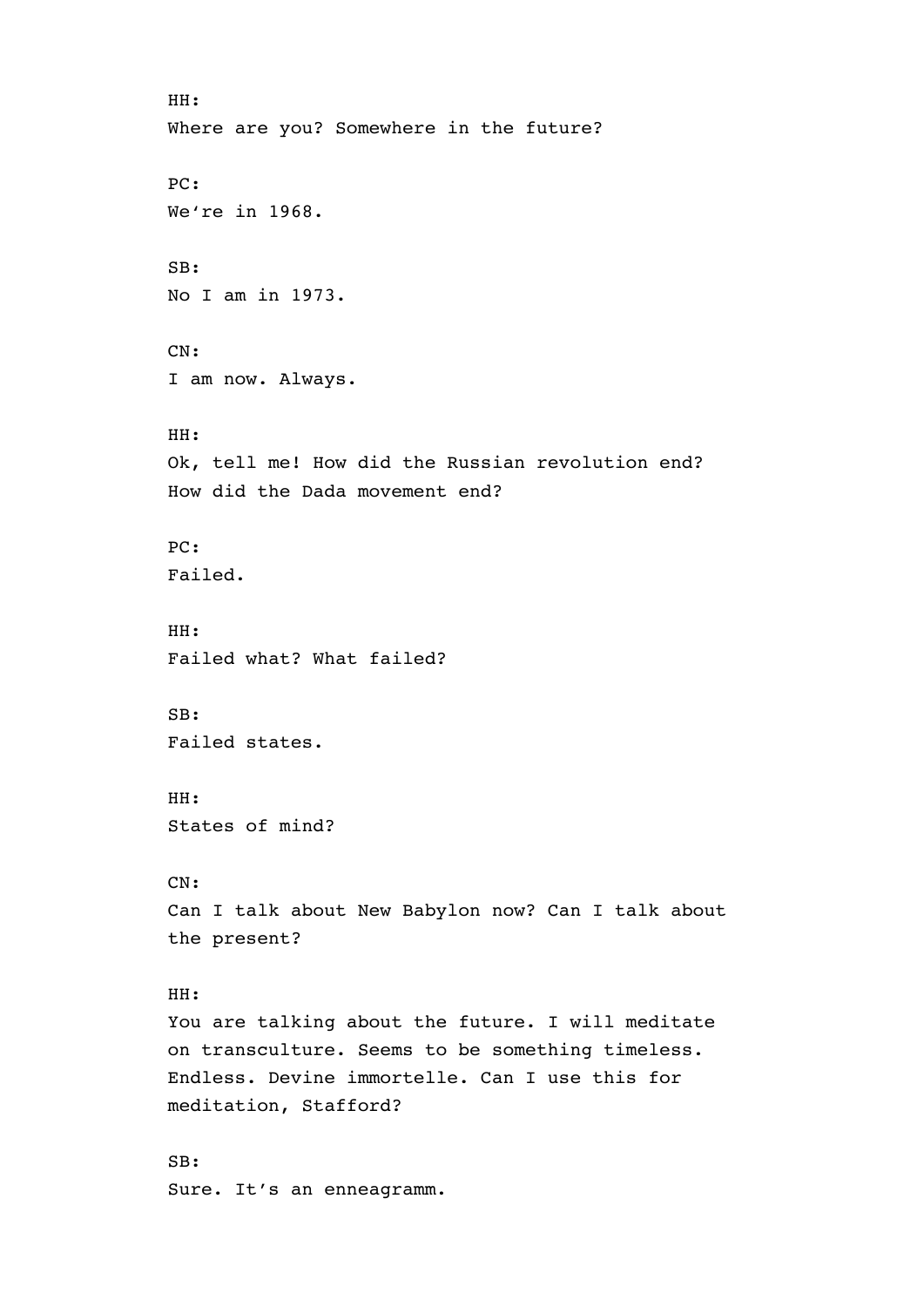```
HH: 
Where are you? Somewhere in the future? 
PC: 
We're in 1968. 
SB: 
No I am in 1973. 
CN: 
I am now. Always. 
HH: 
Ok, tell me! How did the Russian revolution end? 
How did the Dada movement end? 
PC: 
Failed. 
HH: 
Failed what? What failed? 
SB: 
Failed states. 
HH: 
States of mind? 
CN: 
Can I talk about New Babylon now? Can I talk about 
the present? 
HH: 
You are talking about the future. I will meditate 
on transculture. Seems to be something timeless. 
Endless. Devine immortelle. Can I use this for 
meditation, Stafford? 
SB: 
Sure. It's an enneagramm.
```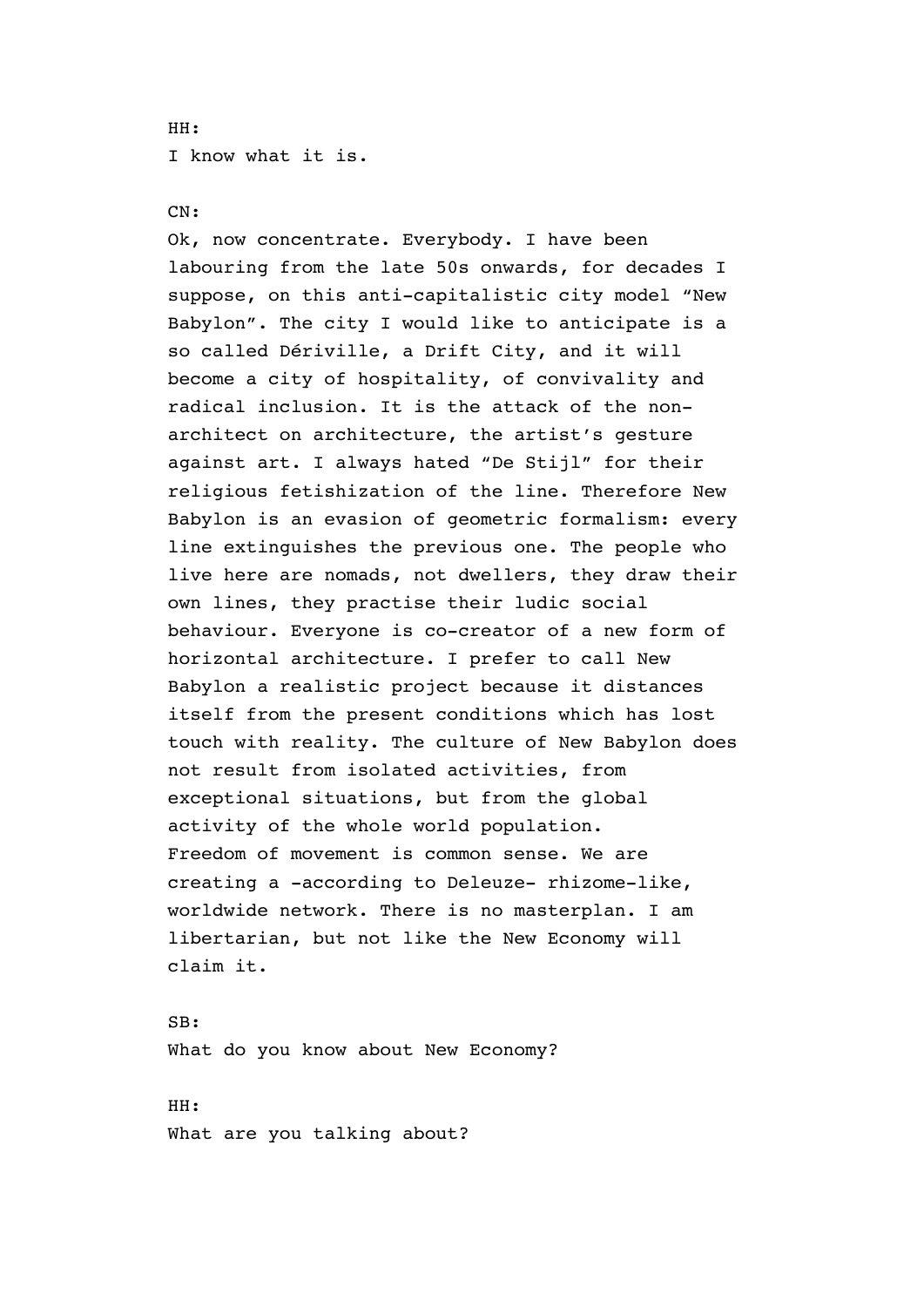# HH: I know what it is.

# CN:

Ok, now concentrate. Everybody. I have been labouring from the late 50s onwards, for decades I suppose, on this anti-capitalistic city model "New Babylon". The city I would like to anticipate is a so called Dériville, a Drift City, and it will become a city of hospitality, of convivality and radical inclusion. It is the attack of the nonarchitect on architecture, the artist's gesture against art. I always hated "De Stijl" for their religious fetishization of the line. Therefore New Babylon is an evasion of geometric formalism: every line extinguishes the previous one. The people who live here are nomads, not dwellers, they draw their own lines, they practise their ludic social behaviour. Everyone is co-creator of a new form of horizontal architecture. I prefer to call New Babylon a realistic project because it distances itself from the present conditions which has lost touch with reality. The culture of New Babylon does not result from isolated activities, from exceptional situations, but from the global activity of the whole world population. Freedom of movement is common sense. We are creating a -according to Deleuze- rhizome-like, worldwide network. There is no masterplan. I am libertarian, but not like the New Economy will claim it.

SB: What do you know about New Economy?

HH: What are you talking about?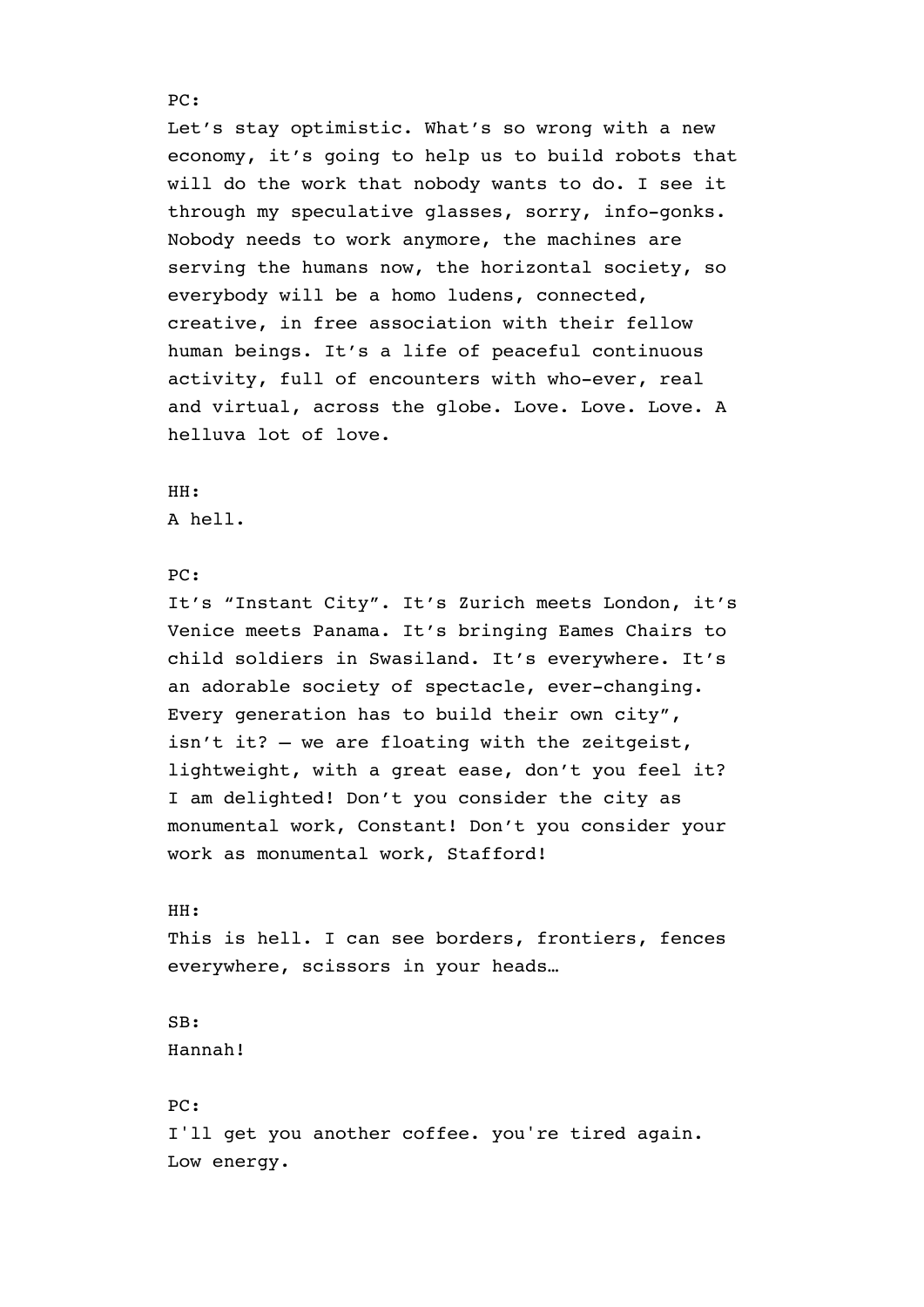Let's stay optimistic. What's so wrong with a new economy, it's going to help us to build robots that will do the work that nobody wants to do. I see it through my speculative glasses, sorry, info-gonks. Nobody needs to work anymore, the machines are serving the humans now, the horizontal society, so everybody will be a homo ludens, connected, creative, in free association with their fellow human beings. It's a life of peaceful continuous activity, full of encounters with who-ever, real and virtual, across the globe. Love. Love. Love. A helluva lot of love.

# HH: A hell.

# PC:

It's "Instant City". It's Zurich meets London, it's Venice meets Panama. It's bringing Eames Chairs to child soldiers in Swasiland. It's everywhere. It's an adorable society of spectacle, ever-changing. Every generation has to build their own city", isn't it? – we are floating with the zeitgeist, lightweight, with a great ease, don't you feel it? I am delighted! Don't you consider the city as monumental work, Constant! Don't you consider your work as monumental work, Stafford!

## HH:

This is hell. I can see borders, frontiers, fences everywhere, scissors in your heads…

# SB: Hannah!

PC: I'll get you another coffee. you're tired again. Low energy.

## PC: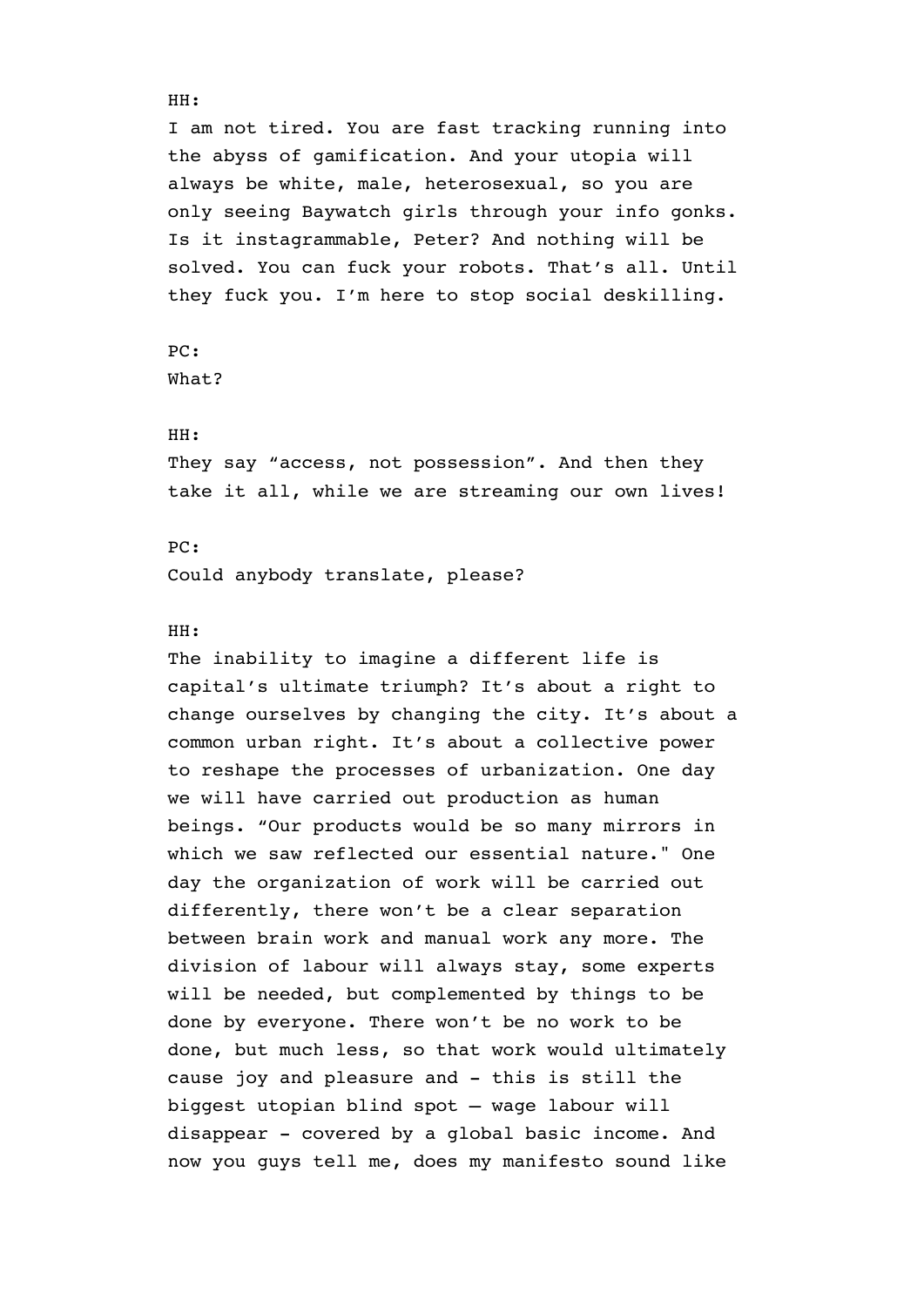I am not tired. You are fast tracking running into the abyss of gamification. And your utopia will always be white, male, heterosexual, so you are only seeing Baywatch girls through your info gonks. Is it instagrammable, Peter? And nothing will be solved. You can fuck your robots. That's all. Until they fuck you. I'm here to stop social deskilling.

PC:

What?

## HH:

They say "access, not possession". And then they take it all, while we are streaming our own lives!

## PC:

Could anybody translate, please?

## HH:

The inability to imagine a different life is capital's ultimate triumph? It's about a right to change ourselves by changing the city. It's about a common urban right. It's about a collective power to reshape the processes of urbanization. One day we will have carried out production as human beings. "Our products would be so many mirrors in which we saw reflected our essential nature." One day the organization of work will be carried out differently, there won't be a clear separation between brain work and manual work any more. The division of labour will always stay, some experts will be needed, but complemented by things to be done by everyone. There won't be no work to be done, but much less, so that work would ultimately cause joy and pleasure and - this is still the biggest utopian blind spot – wage labour will disappear - covered by a global basic income. And now you guys tell me, does my manifesto sound like

#### HH: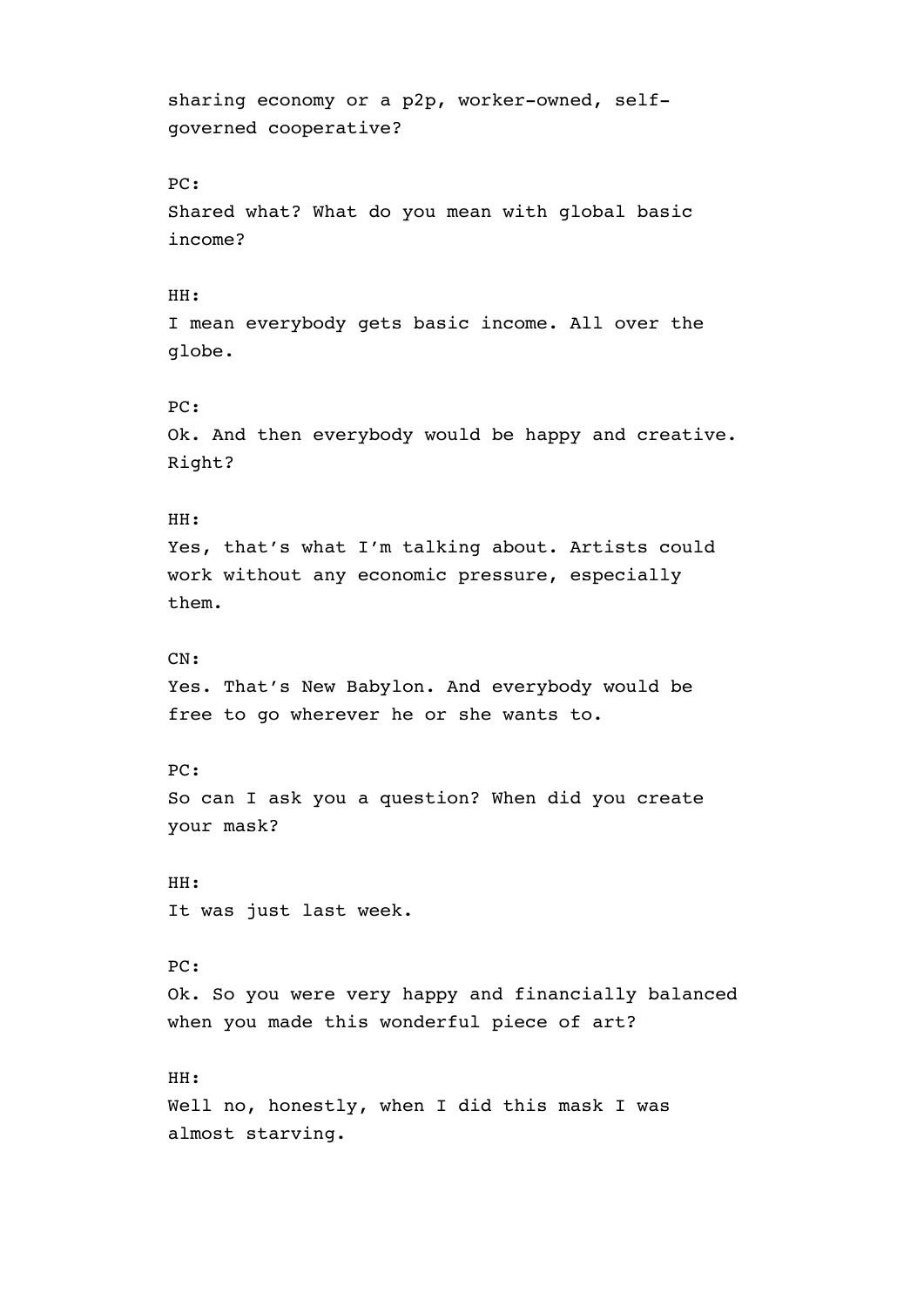sharing economy or a p2p, worker-owned, selfgoverned cooperative? PC: Shared what? What do you mean with global basic income? HH: I mean everybody gets basic income. All over the globe. PC: Ok. And then everybody would be happy and creative. Right? HH: Yes, that's what I'm talking about. Artists could work without any economic pressure, especially them. CN: Yes. That's New Babylon. And everybody would be free to go wherever he or she wants to. PC: So can I ask you a question? When did you create your mask? HH: It was just last week. PC: Ok. So you were very happy and financially balanced when you made this wonderful piece of art? HH: Well no, honestly, when I did this mask I was almost starving.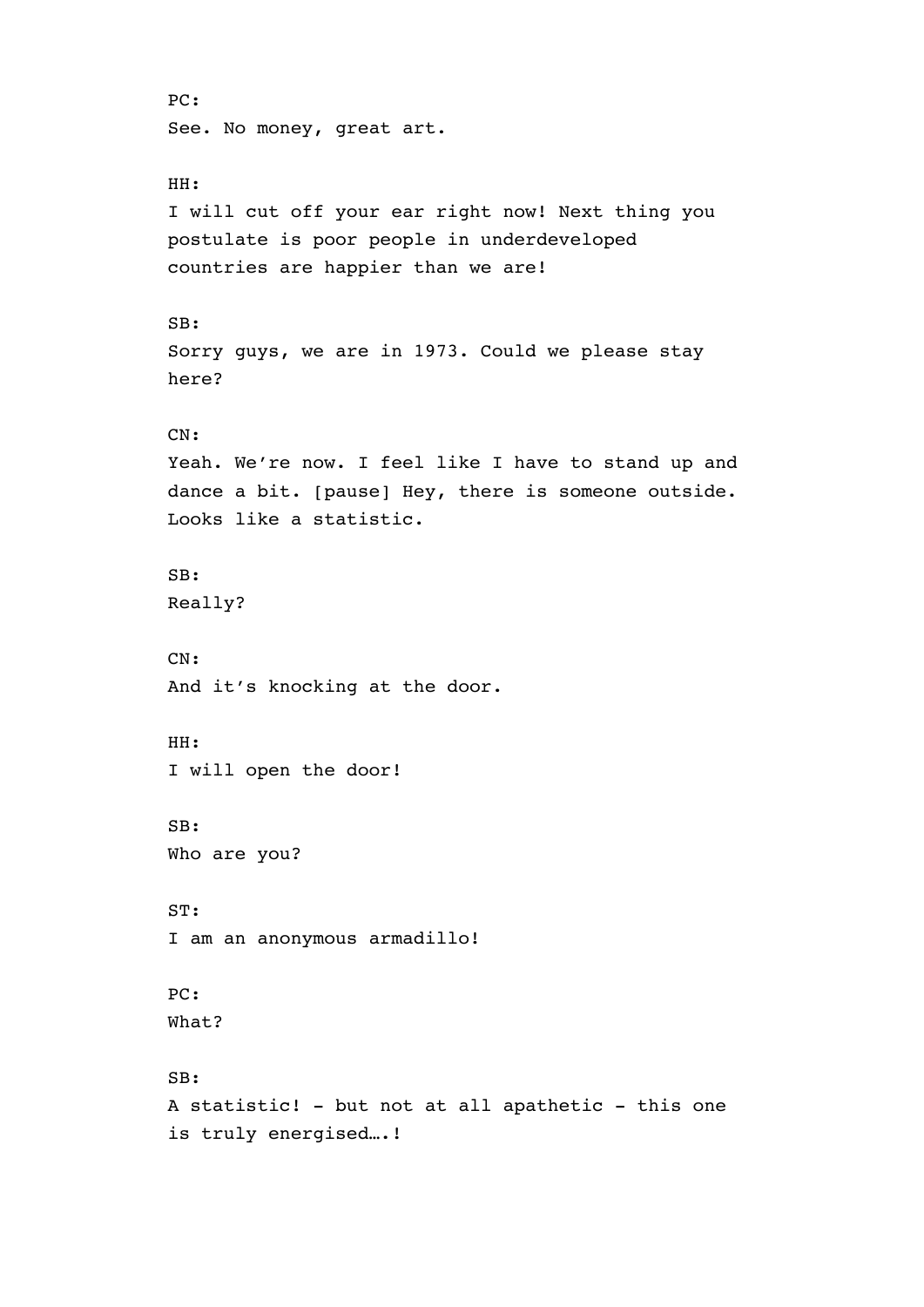```
PC: 
See. No money, great art. 
HH: 
I will cut off your ear right now! Next thing you 
postulate is poor people in underdeveloped 
countries are happier than we are! 
SB: 
Sorry guys, we are in 1973. Could we please stay 
here? 
CN: 
Yeah. We're now. I feel like I have to stand up and 
dance a bit. [pause] Hey, there is someone outside. 
Looks like a statistic. 
SB: 
Really? 
CN: 
And it's knocking at the door. 
HH: 
I will open the door! 
SB: 
Who are you? 
ST: 
I am an anonymous armadillo! 
PC: 
What? 
SB: 
A statistic! - but not at all apathetic - this one 
is truly energised….!
```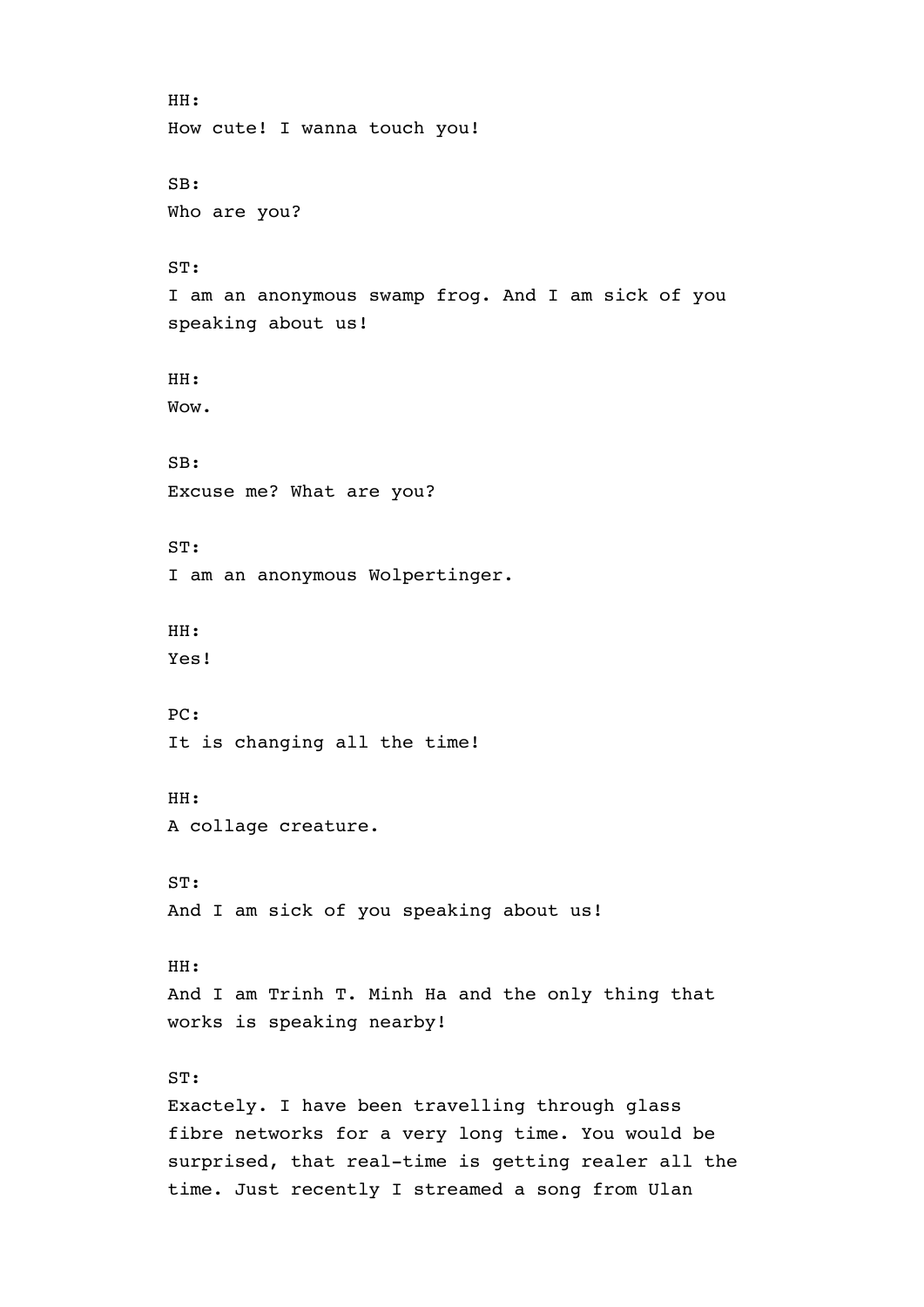```
HH: 
How cute! I wanna touch you! 
SB: 
Who are you? 
ST: 
I am an anonymous swamp frog. And I am sick of you 
speaking about us! 
HH: 
Wow. 
SB: 
Excuse me? What are you? 
ST: 
I am an anonymous Wolpertinger. 
HH: 
Yes! 
PC: 
It is changing all the time! 
HH: 
A collage creature. 
ST: 
And I am sick of you speaking about us! 
HH: 
And I am Trinh T. Minh Ha and the only thing that 
works is speaking nearby! 
ST: 
Exactely. I have been travelling through glass 
fibre networks for a very long time. You would be 
surprised, that real-time is getting realer all the 
time. Just recently I streamed a song from Ulan
```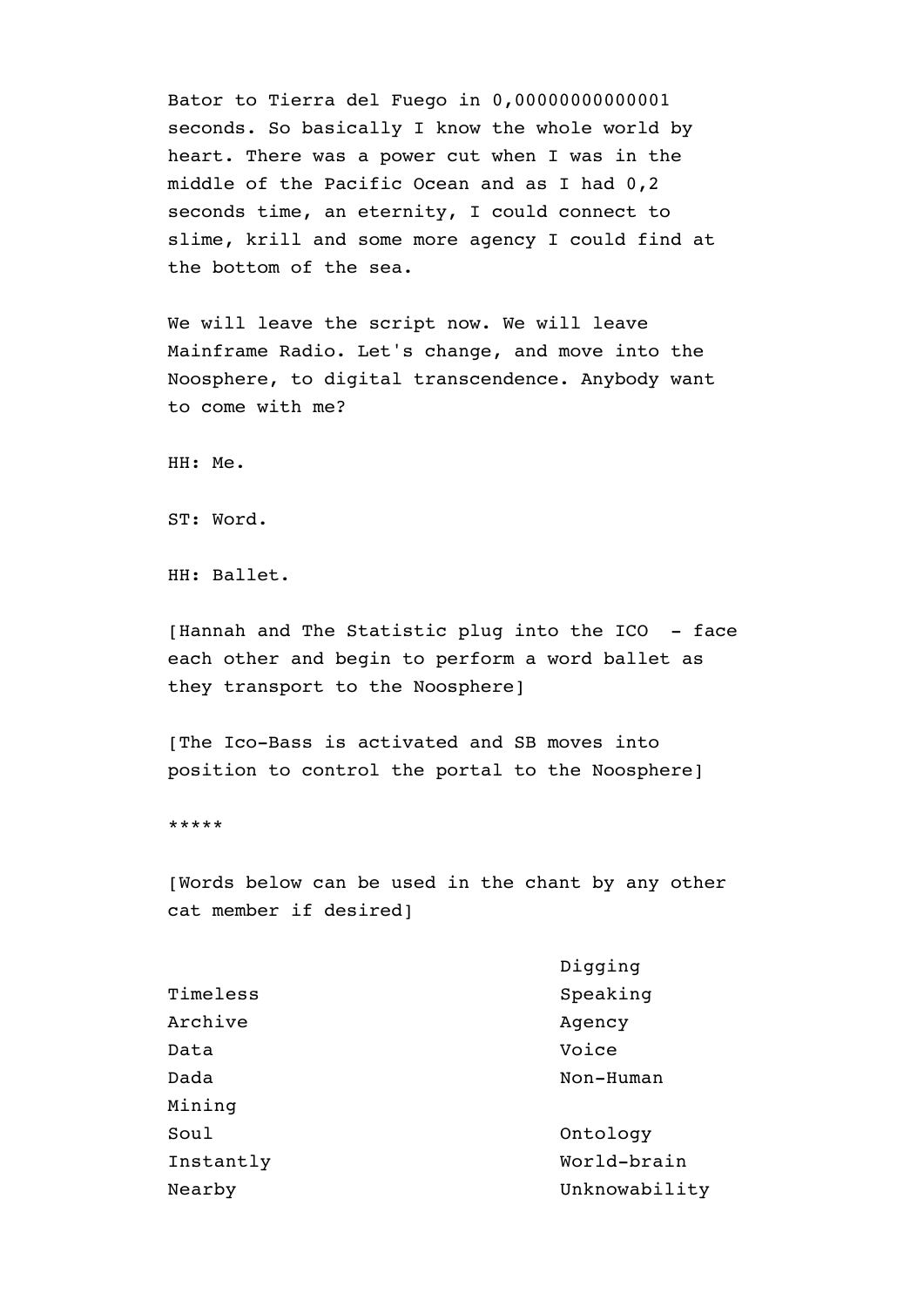Bator to Tierra del Fuego in 0,00000000000001 seconds. So basically I know the whole world by heart. There was a power cut when I was in the middle of the Pacific Ocean and as I had 0,2 seconds time, an eternity, I could connect to slime, krill and some more agency I could find at the bottom of the sea.

We will leave the script now. We will leave Mainframe Radio. Let's change, and move into the Noosphere, to digital transcendence. Anybody want to come with me?

HH: Me.

ST: Word.

HH: Ballet.

[Hannah and The Statistic plug into the ICO - face each other and begin to perform a word ballet as they transport to the Noosphere]

[The Ico-Bass is activated and SB moves into position to control the portal to the Noosphere]

\*\*\*\*\*

[Words below can be used in the chant by any other cat member if desired]

|           | Digging       |
|-----------|---------------|
| Timeless  | Speaking      |
| Archive   | Agency        |
| Data      | Voice         |
| Dada      | Non-Human     |
| Mining    |               |
| Soul      | Ontology      |
| Instantly | World-brain   |
| Nearby    | Unknowability |
|           |               |